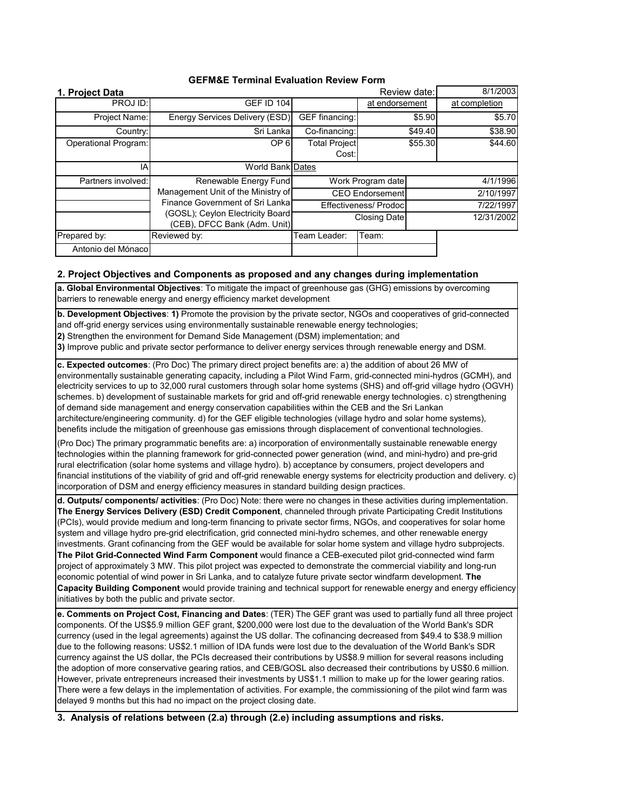| 1. Project Data             |                                                                                                                                                                    |                               | Review date:   |         | 8/1/2003      |
|-----------------------------|--------------------------------------------------------------------------------------------------------------------------------------------------------------------|-------------------------------|----------------|---------|---------------|
| PROJ ID:                    | <b>GEF ID 104</b>                                                                                                                                                  |                               | at endorsement |         | at completion |
| Project Name:               | Energy Services Delivery (ESD)                                                                                                                                     | GEF financing:                |                | \$5.90  | \$5.70        |
| Country:                    | Sri Lanka                                                                                                                                                          | Co-financing:                 |                | \$49.40 | \$38.90       |
| <b>Operational Program:</b> | OP <sub>6</sub>                                                                                                                                                    | <b>Total Project</b><br>Cost: |                | \$55.30 | \$44.60       |
| IA                          | World Bank Dates                                                                                                                                                   |                               |                |         |               |
| Partners involved:          | Renewable Energy Fund<br>Management Unit of the Ministry of<br>Finance Government of Sri Lanka<br>(GOSL); Ceylon Electricity Board<br>(CEB), DFCC Bank (Adm. Unit) | Work Program date             |                |         | 4/1/1996      |
|                             |                                                                                                                                                                    | <b>CEO Endorsement</b>        |                |         | 2/10/1997     |
|                             |                                                                                                                                                                    | Effectiveness/ Prodoc         |                |         | 7/22/1997     |
|                             |                                                                                                                                                                    | <b>Closing Date</b>           |                |         | 12/31/2002    |
| Prepared by:                | Reviewed by:                                                                                                                                                       | Team Leader:                  | Team:          |         |               |
| Antonio del Mónacol         |                                                                                                                                                                    |                               |                |         |               |

## **2. Project Objectives and Components as proposed and any changes during implementation**

**a. Global Environmental Objectives**: To mitigate the impact of greenhouse gas (GHG) emissions by overcoming barriers to renewable energy and energy efficiency market development

**b. Development Objectives**: **1)** Promote the provision by the private sector, NGOs and cooperatives of grid-connected and off-grid energy services using environmentally sustainable renewable energy technologies;

**2)** Strengthen the environment for Demand Side Management (DSM) implementation; and

**3)** Improve public and private sector performance to deliver energy services through renewable energy and DSM.

**c. Expected outcomes**: (Pro Doc) The primary direct project benefits are: a) the addition of about 26 MW of environmentally sustainable generating capacity, including a Pilot Wind Farm, grid-connected mini-hydros (GCMH), and electricity services to up to 32,000 rural customers through solar home systems (SHS) and off-grid village hydro (OGVH) schemes. b) development of sustainable markets for grid and off-grid renewable energy technologies. c) strengthening of demand side management and energy conservation capabilities within the CEB and the Sri Lankan architecture/engineering community. d) for the GEF eligible technologies (village hydro and solar home systems), benefits include the mitigation of greenhouse gas emissions through displacement of conventional technologies.

(Pro Doc) The primary programmatic benefits are: a) incorporation of environmentally sustainable renewable energy technologies within the planning framework for grid-connected power generation (wind, and mini-hydro) and pre-grid rural electrification (solar home systems and village hydro). b) acceptance by consumers, project developers and financial institutions of the viability of grid and off-grid renewable energy systems for electricity production and delivery. c) incorporation of DSM and energy efficiency measures in standard building design practices.

**d. Outputs/ components/ activities**: (Pro Doc) Note: there were no changes in these activities during implementation. **The Energy Services Delivery (ESD) Credit Component**, channeled through private Participating Credit Institutions (PCIs), would provide medium and long-term financing to private sector firms, NGOs, and cooperatives for solar home system and village hydro pre-grid electrification, grid connected mini-hydro schemes, and other renewable energy investments. Grant cofinancing from the GEF would be available for solar home system and village hydro subprojects. **The Pilot Grid-Connected Wind Farm Component** would finance a CEB-executed pilot grid-connected wind farm project of approximately 3 MW. This pilot project was expected to demonstrate the commercial viability and long-run economic potential of wind power in Sri Lanka, and to catalyze future private sector windfarm development. **The Capacity Building Component** would provide training and technical support for renewable energy and energy efficiency initiatives by both the public and private sector.

**e. Comments on Project Cost, Financing and Dates**: (TER) The GEF grant was used to partially fund all three project components. Of the US\$5.9 million GEF grant, \$200,000 were lost due to the devaluation of the World Bank's SDR currency (used in the legal agreements) against the US dollar. The cofinancing decreased from \$49.4 to \$38.9 million due to the following reasons: US\$2.1 million of IDA funds were lost due to the devaluation of the World Bank's SDR currency against the US dollar, the PCIs decreased their contributions by US\$8.9 million for several reasons including the adoption of more conservative gearing ratios, and CEB/GOSL also decreased their contributions by US\$0.6 million. However, private entrepreneurs increased their investments by US\$1.1 million to make up for the lower gearing ratios. There were a few delays in the implementation of activities. For example, the commissioning of the pilot wind farm was delayed 9 months but this had no impact on the project closing date.

**3. Analysis of relations between (2.a) through (2.e) including assumptions and risks.**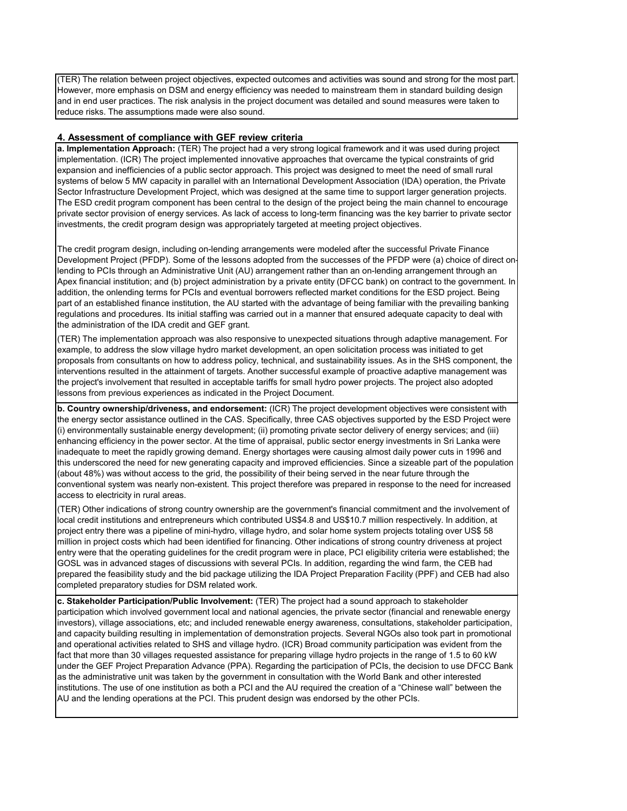(TER) The relation between project objectives, expected outcomes and activities was sound and strong for the most part. However, more emphasis on DSM and energy efficiency was needed to mainstream them in standard building design and in end user practices. The risk analysis in the project document was detailed and sound measures were taken to reduce risks. The assumptions made were also sound.

#### **4. Assessment of compliance with GEF review criteria**

**a. Implementation Approach:** (TER) The project had a very strong logical framework and it was used during project implementation. (ICR) The project implemented innovative approaches that overcame the typical constraints of grid expansion and inefficiencies of a public sector approach. This project was designed to meet the need of small rural systems of below 5 MW capacity in parallel with an International Development Association (IDA) operation, the Private Sector Infrastructure Development Project, which was designed at the same time to support larger generation projects. The ESD credit program component has been central to the design of the project being the main channel to encourage private sector provision of energy services. As lack of access to long-term financing was the key barrier to private sector investments, the credit program design was appropriately targeted at meeting project objectives.

The credit program design, including on-lending arrangements were modeled after the successful Private Finance Development Project (PFDP). Some of the lessons adopted from the successes of the PFDP were (a) choice of direct onlending to PCIs through an Administrative Unit (AU) arrangement rather than an on-lending arrangement through an Apex financial institution; and (b) project administration by a private entity (DFCC bank) on contract to the government. In addition, the onlending terms for PCIs and eventual borrowers reflected market conditions for the ESD project. Being part of an established finance institution, the AU started with the advantage of being familiar with the prevailing banking regulations and procedures. Its initial staffing was carried out in a manner that ensured adequate capacity to deal with the administration of the IDA credit and GEF grant.

(TER) The implementation approach was also responsive to unexpected situations through adaptive management. For example, to address the slow village hydro market development, an open solicitation process was initiated to get proposals from consultants on how to address policy, technical, and sustainability issues. As in the SHS component, the interventions resulted in the attainment of targets. Another successful example of proactive adaptive management was the project's involvement that resulted in acceptable tariffs for small hydro power projects. The project also adopted lessons from previous experiences as indicated in the Project Document.

**b. Country ownership/driveness, and endorsement:** (ICR) The project development objectives were consistent with the energy sector assistance outlined in the CAS. Specifically, three CAS objectives supported by the ESD Project were (i) environmentally sustainable energy development; (ii) promoting private sector delivery of energy services; and (iii) enhancing efficiency in the power sector. At the time of appraisal, public sector energy investments in Sri Lanka were inadequate to meet the rapidly growing demand. Energy shortages were causing almost daily power cuts in 1996 and this underscored the need for new generating capacity and improved efficiencies. Since a sizeable part of the population (about 48%) was without access to the grid, the possibility of their being served in the near future through the conventional system was nearly non-existent. This project therefore was prepared in response to the need for increased access to electricity in rural areas.

(TER) Other indications of strong country ownership are the government's financial commitment and the involvement of local credit institutions and entrepreneurs which contributed US\$4.8 and US\$10.7 million respectively. In addition, at project entry there was a pipeline of mini-hydro, village hydro, and solar home system projects totaling over US\$ 58 million in project costs which had been identified for financing. Other indications of strong country driveness at project entry were that the operating guidelines for the credit program were in place, PCI eligibility criteria were established; the GOSL was in advanced stages of discussions with several PCIs. In addition, regarding the wind farm, the CEB had prepared the feasibility study and the bid package utilizing the IDA Project Preparation Facility (PPF) and CEB had also completed preparatory studies for DSM related work.

**c. Stakeholder Participation/Public Involvement:** (TER) The project had a sound approach to stakeholder participation which involved government local and national agencies, the private sector (financial and renewable energy investors), village associations, etc; and included renewable energy awareness, consultations, stakeholder participation, and capacity building resulting in implementation of demonstration projects. Several NGOs also took part in promotional and operational activities related to SHS and village hydro. (ICR) Broad community participation was evident from the fact that more than 30 villages requested assistance for preparing village hydro projects in the range of 1.5 to 60 kW under the GEF Project Preparation Advance (PPA). Regarding the participation of PCIs, the decision to use DFCC Bank as the administrative unit was taken by the government in consultation with the World Bank and other interested institutions. The use of one institution as both a PCI and the AU required the creation of a "Chinese wall" between the AU and the lending operations at the PCI. This prudent design was endorsed by the other PCIs.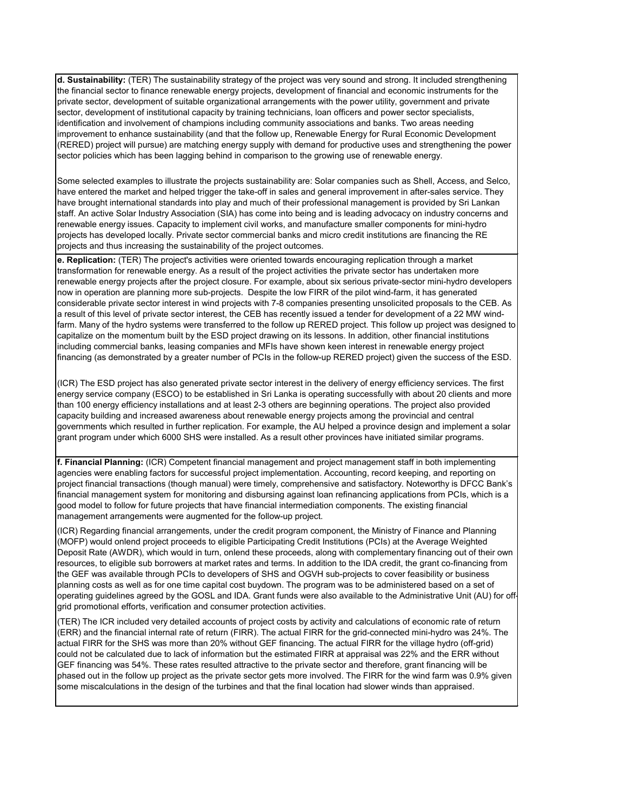**d. Sustainability:** (TER) The sustainability strategy of the project was very sound and strong. It included strengthening the financial sector to finance renewable energy projects, development of financial and economic instruments for the private sector, development of suitable organizational arrangements with the power utility, government and private sector, development of institutional capacity by training technicians, loan officers and power sector specialists, identification and involvement of champions including community associations and banks. Two areas needing improvement to enhance sustainability (and that the follow up, Renewable Energy for Rural Economic Development (RERED) project will pursue) are matching energy supply with demand for productive uses and strengthening the power sector policies which has been lagging behind in comparison to the growing use of renewable energy.

Some selected examples to illustrate the projects sustainability are: Solar companies such as Shell, Access, and Selco, have entered the market and helped trigger the take-off in sales and general improvement in after-sales service. They have brought international standards into play and much of their professional management is provided by Sri Lankan staff. An active Solar Industry Association (SIA) has come into being and is leading advocacy on industry concerns and renewable energy issues. Capacity to implement civil works, and manufacture smaller components for mini-hydro projects has developed locally. Private sector commercial banks and micro credit institutions are financing the RE projects and thus increasing the sustainability of the project outcomes.

**e. Replication:** (TER) The project's activities were oriented towards encouraging replication through a market transformation for renewable energy. As a result of the project activities the private sector has undertaken more renewable energy projects after the project closure. For example, about six serious private-sector mini-hydro developers now in operation are planning more sub-projects. Despite the low FIRR of the pilot wind-farm, it has generated considerable private sector interest in wind projects with 7-8 companies presenting unsolicited proposals to the CEB. As a result of this level of private sector interest, the CEB has recently issued a tender for development of a 22 MW windfarm. Many of the hydro systems were transferred to the follow up RERED project. This follow up project was designed to capitalize on the momentum built by the ESD project drawing on its lessons. In addition, other financial institutions including commercial banks, leasing companies and MFIs have shown keen interest in renewable energy project financing (as demonstrated by a greater number of PCIs in the follow-up RERED project) given the success of the ESD.

(ICR) The ESD project has also generated private sector interest in the delivery of energy efficiency services. The first energy service company (ESCO) to be established in Sri Lanka is operating successfully with about 20 clients and more than 100 energy efficiency installations and at least 2-3 others are beginning operations. The project also provided capacity building and increased awareness about renewable energy projects among the provincial and central governments which resulted in further replication. For example, the AU helped a province design and implement a solar grant program under which 6000 SHS were installed. As a result other provinces have initiated similar programs.

**f. Financial Planning:** (ICR) Competent financial management and project management staff in both implementing agencies were enabling factors for successful project implementation. Accounting, record keeping, and reporting on project financial transactions (though manual) were timely, comprehensive and satisfactory. Noteworthy is DFCC Bank's financial management system for monitoring and disbursing against loan refinancing applications from PCIs, which is a good model to follow for future projects that have financial intermediation components. The existing financial management arrangements were augmented for the follow-up project.

(ICR) Regarding financial arrangements, under the credit program component, the Ministry of Finance and Planning (MOFP) would onlend project proceeds to eligible Participating Credit Institutions (PCIs) at the Average Weighted Deposit Rate (AWDR), which would in turn, onlend these proceeds, along with complementary financing out of their own resources, to eligible sub borrowers at market rates and terms. In addition to the IDA credit, the grant co-financing from the GEF was available through PCIs to developers of SHS and OGVH sub-projects to cover feasibility or business planning costs as well as for one time capital cost buydown. The program was to be administered based on a set of operating guidelines agreed by the GOSL and IDA. Grant funds were also available to the Administrative Unit (AU) for offgrid promotional efforts, verification and consumer protection activities.

(TER) The ICR included very detailed accounts of project costs by activity and calculations of economic rate of return (ERR) and the financial internal rate of return (FIRR). The actual FIRR for the grid-connected mini-hydro was 24%. The actual FIRR for the SHS was more than 20% without GEF financing. The actual FIRR for the village hydro (off-grid) could not be calculated due to lack of information but the estimated FIRR at appraisal was 22% and the ERR without GEF financing was 54%. These rates resulted attractive to the private sector and therefore, grant financing will be phased out in the follow up project as the private sector gets more involved. The FIRR for the wind farm was 0.9% given some miscalculations in the design of the turbines and that the final location had slower winds than appraised.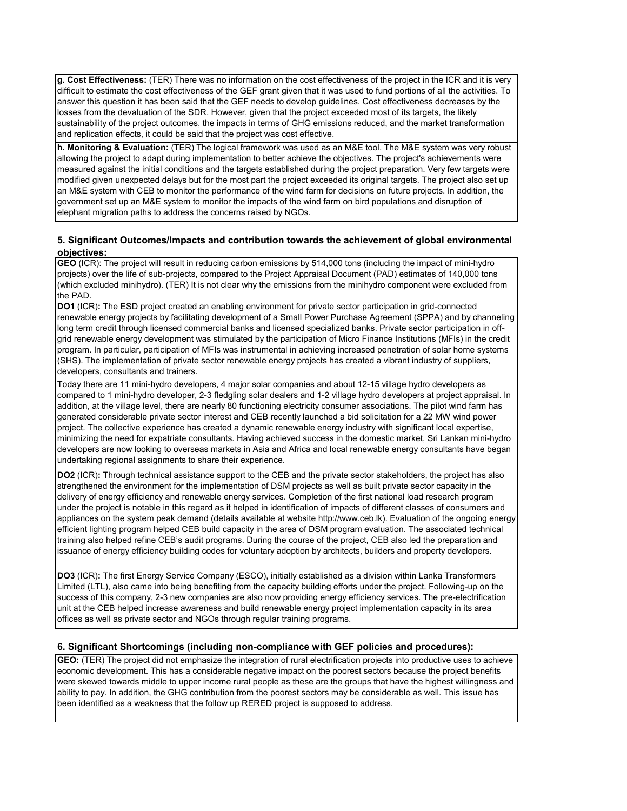**g. Cost Effectiveness:** (TER) There was no information on the cost effectiveness of the project in the ICR and it is very difficult to estimate the cost effectiveness of the GEF grant given that it was used to fund portions of all the activities. To answer this question it has been said that the GEF needs to develop guidelines. Cost effectiveness decreases by the losses from the devaluation of the SDR. However, given that the project exceeded most of its targets, the likely sustainability of the project outcomes, the impacts in terms of GHG emissions reduced, and the market transformation and replication effects, it could be said that the project was cost effective.

**h. Monitoring & Evaluation:** (TER) The logical framework was used as an M&E tool. The M&E system was very robust allowing the project to adapt during implementation to better achieve the objectives. The project's achievements were measured against the initial conditions and the targets established during the project preparation. Very few targets were modified given unexpected delays but for the most part the project exceeded its original targets. The project also set up an M&E system with CEB to monitor the performance of the wind farm for decisions on future projects. In addition, the government set up an M&E system to monitor the impacts of the wind farm on bird populations and disruption of elephant migration paths to address the concerns raised by NGOs.

## **5. Significant Outcomes/Impacts and contribution towards the achievement of global environmental objectives:**

**GEO** (ICR): The project will result in reducing carbon emissions by 514,000 tons (including the impact of mini-hydro projects) over the life of sub-projects, compared to the Project Appraisal Document (PAD) estimates of 140,000 tons (which excluded minihydro). (TER) It is not clear why the emissions from the minihydro component were excluded from the PAD.

**DO1** (ICR)**:** The ESD project created an enabling environment for private sector participation in grid-connected renewable energy projects by facilitating development of a Small Power Purchase Agreement (SPPA) and by channeling long term credit through licensed commercial banks and licensed specialized banks. Private sector participation in offgrid renewable energy development was stimulated by the participation of Micro Finance Institutions (MFIs) in the credit program. In particular, participation of MFIs was instrumental in achieving increased penetration of solar home systems (SHS). The implementation of private sector renewable energy projects has created a vibrant industry of suppliers, developers, consultants and trainers.

Today there are 11 mini-hydro developers, 4 major solar companies and about 12-15 village hydro developers as compared to 1 mini-hydro developer, 2-3 fledgling solar dealers and 1-2 village hydro developers at project appraisal. In addition, at the village level, there are nearly 80 functioning electricity consumer associations. The pilot wind farm has generated considerable private sector interest and CEB recently launched a bid solicitation for a 22 MW wind power project. The collective experience has created a dynamic renewable energy industry with significant local expertise, minimizing the need for expatriate consultants. Having achieved success in the domestic market, Sri Lankan mini-hydro developers are now looking to overseas markets in Asia and Africa and local renewable energy consultants have began undertaking regional assignments to share their experience.

**DO2** (ICR)**:** Through technical assistance support to the CEB and the private sector stakeholders, the project has also strengthened the environment for the implementation of DSM projects as well as built private sector capacity in the delivery of energy efficiency and renewable energy services. Completion of the first national load research program under the project is notable in this regard as it helped in identification of impacts of different classes of consumers and appliances on the system peak demand (details available at website http://www.ceb.lk). Evaluation of the ongoing energy efficient lighting program helped CEB build capacity in the area of DSM program evaluation. The associated technical training also helped refine CEB's audit programs. During the course of the project, CEB also led the preparation and issuance of energy efficiency building codes for voluntary adoption by architects, builders and property developers.

**DO3** (ICR)**:** The first Energy Service Company (ESCO), initially established as a division within Lanka Transformers Limited (LTL), also came into being benefiting from the capacity building efforts under the project. Following-up on the success of this company, 2-3 new companies are also now providing energy efficiency services. The pre-electrification unit at the CEB helped increase awareness and build renewable energy project implementation capacity in its area offices as well as private sector and NGOs through regular training programs.

#### **6. Significant Shortcomings (including non-compliance with GEF policies and procedures):**

**GEO:** (TER) The project did not emphasize the integration of rural electrification projects into productive uses to achieve economic development. This has a considerable negative impact on the poorest sectors because the project benefits were skewed towards middle to upper income rural people as these are the groups that have the highest willingness and ability to pay. In addition, the GHG contribution from the poorest sectors may be considerable as well. This issue has been identified as a weakness that the follow up RERED project is supposed to address.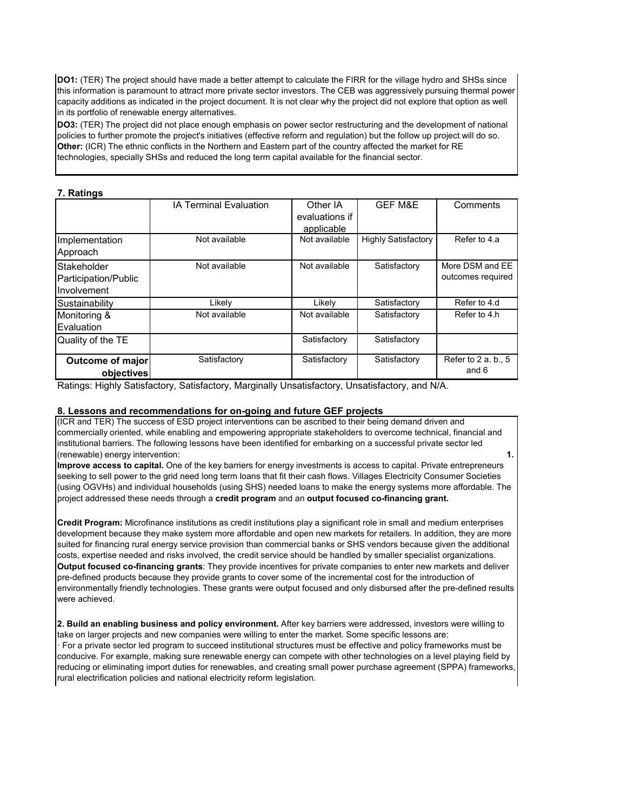**DO1:** (TER) The project should have made a better attempt to calculate the FIRR for the village hydro and SHSs since this information is paramount to attract more private sector investors. The CEB was aggressively pursuing thermal power capacity additions as indicated in the project document. It is not clear why the project did not explore that option as well in its portfolio of renewable energy alternatives.

**DO3:** (TER) The project did not place enough emphasis on power sector restructuring and the development of national policies to further promote the project's initiatives (effective reform and regulation) but the follow up project will do so. **Other:** (ICR) The ethnic conflicts in the Northern and Eastern part of the country affected the market for RE technologies, specially SHSs and reduced the long term capital available for the financial sector.

#### **7. Ratings**

|                         | <b>IA Terminal Evaluation</b> | Other IA       | <b>GEF M&amp;E</b>         | Comments            |
|-------------------------|-------------------------------|----------------|----------------------------|---------------------|
|                         |                               | evaluations if |                            |                     |
|                         |                               | applicable     |                            |                     |
| Implementation          | Not available                 | Not available  | <b>Highly Satisfactory</b> | Refer to 4.a        |
| Approach                |                               |                |                            |                     |
| Stakeholder             | Not available                 | Not available  | Satisfactory               | More DSM and EE     |
| Participation/Public    |                               |                |                            | outcomes required   |
| Involvement             |                               |                |                            |                     |
| Sustainability          | Likely                        | Likely         | Satisfactory               | Refer to 4.d        |
| Monitoring &            | Not available                 | Not available  | Satisfactory               | Refer to 4.h        |
| Evaluation              |                               |                |                            |                     |
| Quality of the TE       |                               | Satisfactory   | Satisfactory               |                     |
|                         |                               |                |                            |                     |
| <b>Outcome of major</b> | Satisfactory                  | Satisfactory   | Satisfactory               | Refer to 2 a. b., 5 |
| objectives              |                               |                |                            | and 6               |

Ratings: Highly Satisfactory, Satisfactory, Marginally Unsatisfactory, Unsatisfactory, and N/A.

## **8. Lessons and recommendations for on-going and future GEF projects**

(ICR and TER) The success of ESD project interventions can be ascribed to their being demand driven and commercially oriented, while enabling and empowering appropriate stakeholders to overcome technical, financial and institutional barriers. The following lessons have been identified for embarking on a successful private sector led (renewable) energy intervention: **1.** 

**Improve access to capital.** One of the key barriers for energy investments is access to capital. Private entrepreneurs seeking to sell power to the grid need long term loans that fit their cash flows. Villages Electricity Consumer Societies (using OGVHs) and individual households (using SHS) needed loans to make the energy systems more affordable. The project addressed these needs through a **credit program** and an **output focused co-financing grant.** 

**Credit Program:** Microfinance institutions as credit institutions play a significant role in small and medium enterprises development because they make system more affordable and open new markets for retailers. In addition, they are more suited for financing rural energy service provision than commercial banks or SHS vendors because given the additional costs, expertise needed and risks involved, the credit service should be handled by smaller specialist organizations. **Output focused co-financing grants**: They provide incentives for private companies to enter new markets and deliver pre-defined products because they provide grants to cover some of the incremental cost for the introduction of environmentally friendly technologies. These grants were output focused and only disbursed after the pre-defined results were achieved.

**2. Build an enabling business and policy environment.** After key barriers were addressed, investors were willing to take on larger projects and new companies were willing to enter the market. Some specific lessons are: · For a private sector led program to succeed institutional structures must be effective and policy frameworks must be conducive. For example, making sure renewable energy can compete with other technologies on a level playing field by reducing or eliminating import duties for renewables, and creating small power purchase agreement (SPPA) frameworks, rural electrification policies and national electricity reform legislation.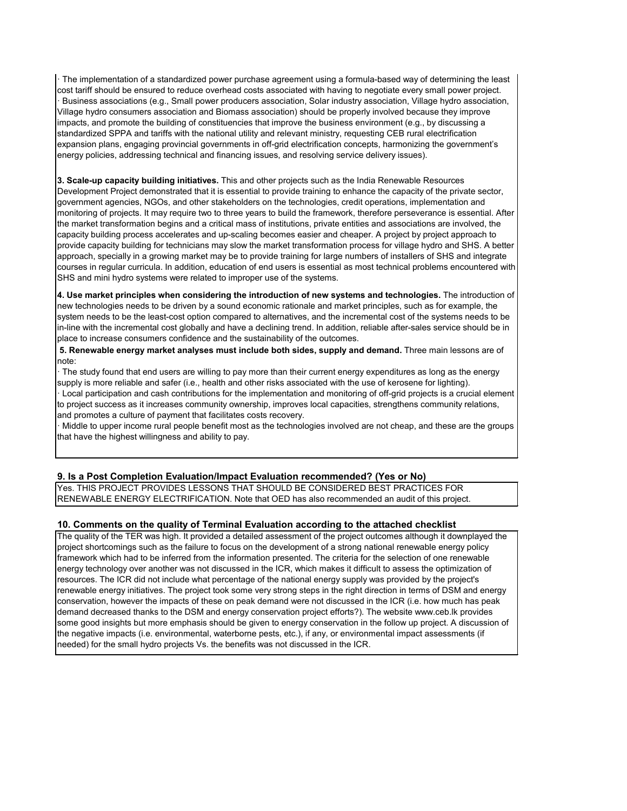· The implementation of a standardized power purchase agreement using a formula-based way of determining the least cost tariff should be ensured to reduce overhead costs associated with having to negotiate every small power project. · Business associations (e.g., Small power producers association, Solar industry association, Village hydro association, Village hydro consumers association and Biomass association) should be properly involved because they improve impacts, and promote the building of constituencies that improve the business environment (e.g., by discussing a standardized SPPA and tariffs with the national utility and relevant ministry, requesting CEB rural electrification expansion plans, engaging provincial governments in off-grid electrification concepts, harmonizing the government's energy policies, addressing technical and financing issues, and resolving service delivery issues).

**3. Scale-up capacity building initiatives.** This and other projects such as the India Renewable Resources Development Project demonstrated that it is essential to provide training to enhance the capacity of the private sector, government agencies, NGOs, and other stakeholders on the technologies, credit operations, implementation and monitoring of projects. It may require two to three years to build the framework, therefore perseverance is essential. After the market transformation begins and a critical mass of institutions, private entities and associations are involved, the capacity building process accelerates and up-scaling becomes easier and cheaper. A project by project approach to provide capacity building for technicians may slow the market transformation process for village hydro and SHS. A better approach, specially in a growing market may be to provide training for large numbers of installers of SHS and integrate courses in regular curricula. In addition, education of end users is essential as most technical problems encountered with SHS and mini hydro systems were related to improper use of the systems.

**4. Use market principles when considering the introduction of new systems and technologies.** The introduction of new technologies needs to be driven by a sound economic rationale and market principles, such as for example, the system needs to be the least-cost option compared to alternatives, and the incremental cost of the systems needs to be in-line with the incremental cost globally and have a declining trend. In addition, reliable after-sales service should be in place to increase consumers confidence and the sustainability of the outcomes.

 **5. Renewable energy market analyses must include both sides, supply and demand.** Three main lessons are of note:

· The study found that end users are willing to pay more than their current energy expenditures as long as the energy supply is more reliable and safer (i.e., health and other risks associated with the use of kerosene for lighting). · Local participation and cash contributions for the implementation and monitoring of off-grid projects is a crucial element to project success as it increases community ownership, improves local capacities, strengthens community relations, and promotes a culture of payment that facilitates costs recovery.

· Middle to upper income rural people benefit most as the technologies involved are not cheap, and these are the groups that have the highest willingness and ability to pay.

#### **9. Is a Post Completion Evaluation/Impact Evaluation recommended? (Yes or No)**

Yes. THIS PROJECT PROVIDES LESSONS THAT SHOULD BE CONSIDERED BEST PRACTICES FOR RENEWABLE ENERGY ELECTRIFICATION. Note that OED has also recommended an audit of this project.

#### **10. Comments on the quality of Terminal Evaluation according to the attached checklist**

The quality of the TER was high. It provided a detailed assessment of the project outcomes although it downplayed the project shortcomings such as the failure to focus on the development of a strong national renewable energy policy framework which had to be inferred from the information presented. The criteria for the selection of one renewable energy technology over another was not discussed in the ICR, which makes it difficult to assess the optimization of resources. The ICR did not include what percentage of the national energy supply was provided by the project's renewable energy initiatives. The project took some very strong steps in the right direction in terms of DSM and energy conservation, however the impacts of these on peak demand were not discussed in the ICR (i.e. how much has peak demand decreased thanks to the DSM and energy conservation project efforts?). The website www.ceb.lk provides some good insights but more emphasis should be given to energy conservation in the follow up project. A discussion of the negative impacts (i.e. environmental, waterborne pests, etc.), if any, or environmental impact assessments (if needed) for the small hydro projects Vs. the benefits was not discussed in the ICR.